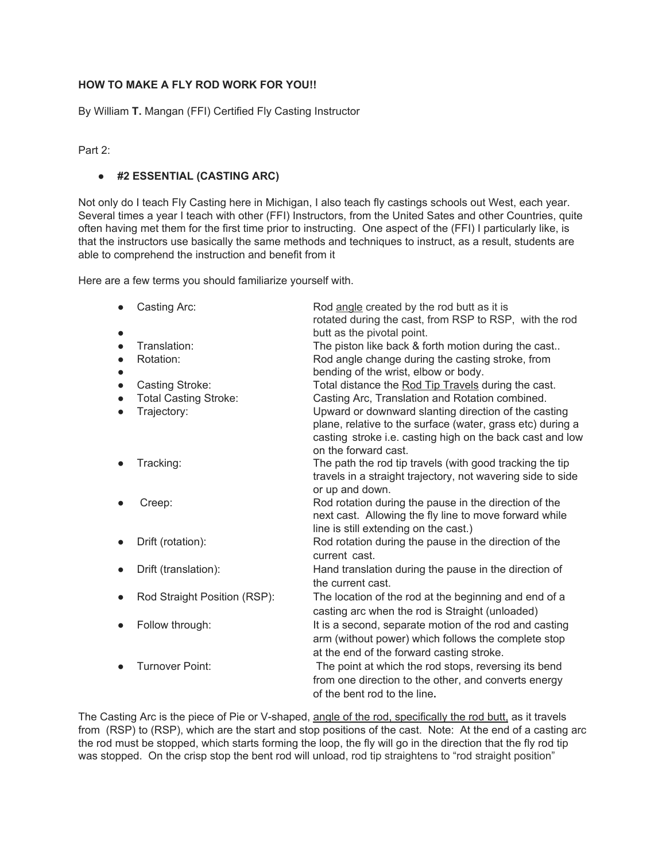## **HOW TO MAKE A FLY ROD WORK FOR YOU!!**

By William **T.** Mangan (FFI) Certified Fly Casting Instructor

Part 2:

## ● **#2 ESSENTIAL (CASTING ARC)**

Not only do I teach Fly Casting here in Michigan, I also teach fly castings schools out West, each year. Several times a year I teach with other (FFI) Instructors, from the United Sates and other Countries, quite often having met them for the first time prior to instructing. One aspect of the (FFI) I particularly like, is that the instructors use basically the same methods and techniques to instruct, as a result, students are able to comprehend the instruction and benefit from it

Here are a few terms you should familiarize yourself with.

| Casting Arc:                 | Rod angle created by the rod butt as it is<br>rotated during the cast, from RSP to RSP, with the rod |
|------------------------------|------------------------------------------------------------------------------------------------------|
|                              | butt as the pivotal point.                                                                           |
| Translation:                 | The piston like back & forth motion during the cast                                                  |
| Rotation:                    | Rod angle change during the casting stroke, from                                                     |
|                              | bending of the wrist, elbow or body.                                                                 |
| Casting Stroke:              | Total distance the Rod Tip Travels during the cast.                                                  |
| <b>Total Casting Stroke:</b> | Casting Arc, Translation and Rotation combined.                                                      |
| Trajectory:                  | Upward or downward slanting direction of the casting                                                 |
|                              | plane, relative to the surface (water, grass etc) during a                                           |
|                              | casting stroke i.e. casting high on the back cast and low                                            |
|                              | on the forward cast.                                                                                 |
| Tracking:                    | The path the rod tip travels (with good tracking the tip                                             |
|                              | travels in a straight trajectory, not wavering side to side                                          |
|                              | or up and down.                                                                                      |
| Creep:                       | Rod rotation during the pause in the direction of the                                                |
|                              | next cast. Allowing the fly line to move forward while                                               |
|                              | line is still extending on the cast.)                                                                |
| Drift (rotation):            | Rod rotation during the pause in the direction of the                                                |
|                              | current cast.                                                                                        |
| Drift (translation):         | Hand translation during the pause in the direction of                                                |
|                              | the current cast.                                                                                    |
| Rod Straight Position (RSP): | The location of the rod at the beginning and end of a                                                |
|                              | casting arc when the rod is Straight (unloaded)                                                      |
| Follow through:              | It is a second, separate motion of the rod and casting                                               |
|                              | arm (without power) which follows the complete stop                                                  |
|                              | at the end of the forward casting stroke.                                                            |
| Turnover Point:              | The point at which the rod stops, reversing its bend                                                 |
|                              | from one direction to the other, and converts energy                                                 |
|                              | of the bent rod to the line.                                                                         |
|                              |                                                                                                      |

The Casting Arc is the piece of Pie or V-shaped, angle of the rod, specifically the rod butt, as it travels from (RSP) to (RSP), which are the start and stop positions of the cast. Note: At the end of a casting arc the rod must be stopped, which starts forming the loop, the fly will go in the direction that the fly rod tip was stopped. On the crisp stop the bent rod will unload, rod tip straightens to "rod straight position"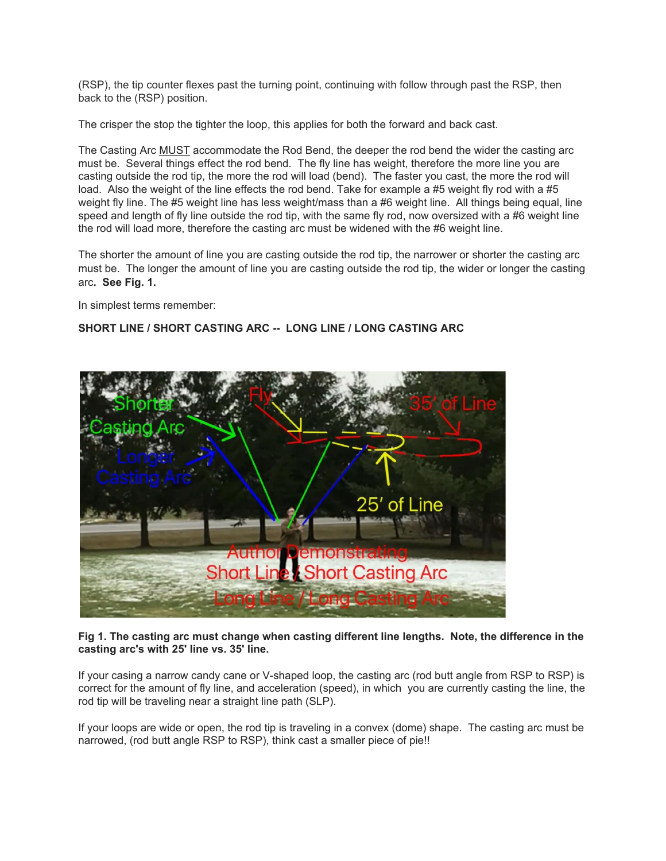(RSP), the tip counter flexes past the turning point, continuing with follow through past the RSP, then back to the (RSP) position.

The crisper the stop the tighter the loop, this applies for both the forward and back cast.

The Casting Arc MUST accommodate the Rod Bend, the deeper the rod bend the wider the casting arc must be. Several things effect the rod bend. The fly line has weight, therefore the more line you are casting outside the rod tip, the more the rod will load (bend). The faster you cast, the more the rod will load. Also the weight of the line effects the rod bend. Take for example a #5 weight fly rod with a #5 weight fly line. The #5 weight line has less weight/mass than a #6 weight line. All things being equal, line speed and length of fly line outside the rod tip, with the same fly rod, now oversized with a #6 weight line the rod will load more, therefore the casting arc must be widened with the #6 weight line.

The shorter the amount of line you are casting outside the rod tip, the narrower or shorter the casting arc must be. The longer the amount of line you are casting outside the rod tip, the wider or longer the casting arc**. See Fig. 1.**

In simplest terms remember:

## **SHORT LINE / SHORT CASTING ARC -- LONG LINE / LONG CASTING ARC**



**Fig 1. The casting arc must change when casting different line lengths. Note, the difference in the casting arc's with 25' line vs. 35' line.**

If your casing a narrow candy cane or V-shaped loop, the casting arc (rod butt angle from RSP to RSP) is correct for the amount of fly line, and acceleration (speed), in which you are currently casting the line, the rod tip will be traveling near a straight line path (SLP).

If your loops are wide or open, the rod tip is traveling in a convex (dome) shape. The casting arc must be narrowed, (rod butt angle RSP to RSP), think cast a smaller piece of pie!!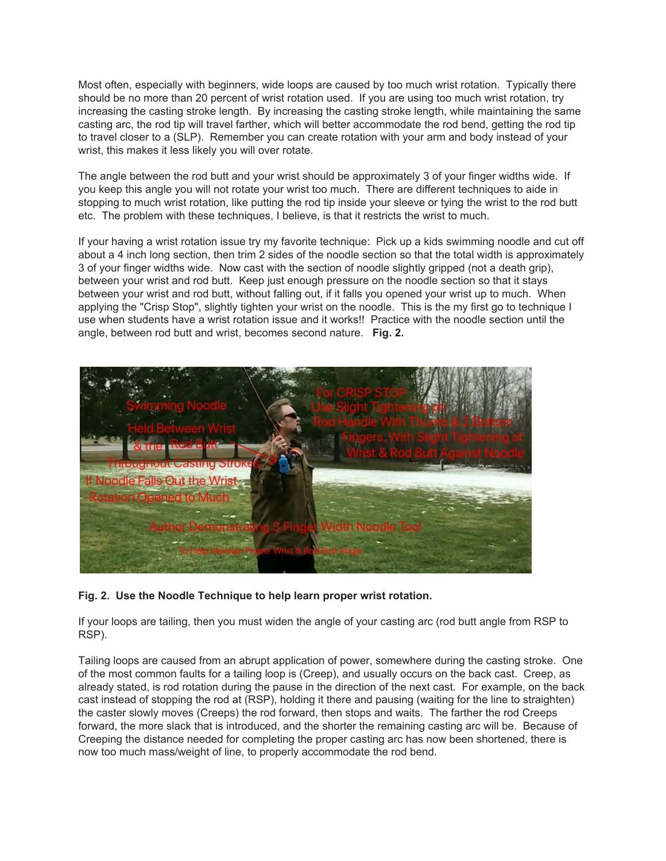Most often, especially with beginners, wide loops are caused by too much wrist rotation. Typically there should be no more than 20 percent of wrist rotation used. If you are using too much wrist rotation, try increasing the casting stroke length. By increasing the casting stroke length, while maintaining the same casting arc, the rod tip will travel farther, which will better accommodate the rod bend, getting the rod tip to travel closer to a (SLP). Remember you can create rotation with your arm and body instead of your wrist, this makes it less likely you will over rotate.

The angle between the rod butt and your wrist should be approximately 3 of your finger widths wide. If you keep this angle you will not rotate your wrist too much. There are different techniques to aide in stopping to much wrist rotation, like putting the rod tip inside your sleeve or tying the wrist to the rod butt etc. The problem with these techniques, I believe, is that it restricts the wrist to much.

If your having a wrist rotation issue try my favorite technique: Pick up a kids swimming noodle and cut off about a 4 inch long section, then trim 2 sides of the noodle section so that the total width is approximately 3 of your finger widths wide. Now cast with the section of noodle slightly gripped (not a death grip), between your wrist and rod butt. Keep just enough pressure on the noodle section so that it stays between your wrist and rod butt, without falling out, if it falls you opened your wrist up to much. When applying the "Crisp Stop", slightly tighten your wrist on the noodle. This is the my first go to technique I use when students have a wrist rotation issue and it works!! Practice with the noodle section until the angle, between rod butt and wrist, becomes second nature. **Fig. 2.**



## **Fig. 2. Use the Noodle Technique to help learn proper wrist rotation.**

If your loops are tailing, then you must widen the angle of your casting arc (rod butt angle from RSP to RSP).

Tailing loops are caused from an abrupt application of power, somewhere during the casting stroke. One of the most common faults for a tailing loop is (Creep), and usually occurs on the back cast. Creep, as already stated, is rod rotation during the pause in the direction of the next cast. For example, on the back cast instead of stopping the rod at (RSP), holding it there and pausing (waiting for the line to straighten) the caster slowly moves (Creeps) the rod forward, then stops and waits. The farther the rod Creeps forward, the more slack that is introduced, and the shorter the remaining casting arc will be. Because of Creeping the distance needed for completing the proper casting arc has now been shortened, there is now too much mass/weight of line, to properly accommodate the rod bend.